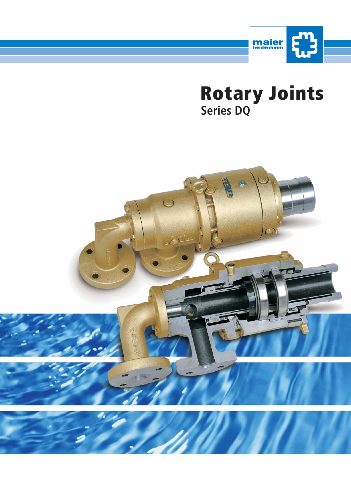

**Rotary Joints Series DQ**

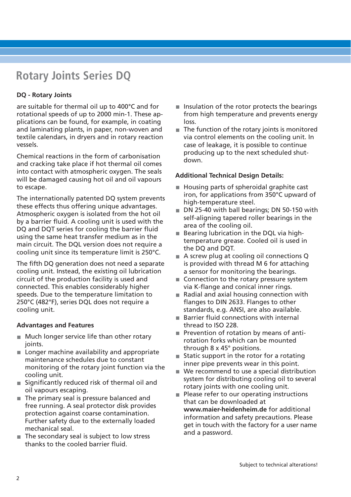## **Rotary Joints Series DQ**

#### **DQ - Rotary Joints**

are suitable for thermal oil up to 400°C and for rotational speeds of up to 2000 min-1. These applications can be found, for example, in coating and laminating plants, in paper, non-woven and textile calendars, in dryers and in rotary reaction vessels.

Chemical reactions in the form of carbonisation and cracking take place if hot thermal oil comes into contact with atmospheric oxygen. The seals will be damaged causing hot oil and oil vapours to escape.

The internationally patented DQ system prevents these effects thus offering unique advantages. Atmospheric oxygen is isolated from the hot oil by a barrier fluid. A cooling unit is used with the DQ and DQT series for cooling the barrier fluid using the same heat transfer medium as in the main circuit. The DQL version does not require a cooling unit since its temperature limit is 250°C.

The fifth DQ generation does not need a separate cooling unit. Instead, the existing oil lubrication circuit of the production facility is used and connected. This enables considerably higher speeds. Due to the temperature limitation to 250°C (482°F), series DQL does not require a cooling unit.

#### **Advantages and Features**

- **Much longer service life than other rotary** joints.
- **Longer machine availability and appropriate** maintenance schedules due to constant monitoring of the rotary joint function via the cooling unit.
- Significantly reduced risk of thermal oil and oil vapours escaping.
- The primary seal is pressure balanced and free running. A seal protector disk provides protection against coarse contamination. Further safety due to the externally loaded mechanical seal.
- The secondary seal is subject to low stress thanks to the cooled barrier fluid.
- $\blacksquare$  Insulation of the rotor protects the bearings from high temperature and prevents energy loss.
- $\blacksquare$  The function of the rotary joints is monitored via control elements on the cooling unit. In case of leakage, it is possible to continue producing up to the next scheduled shutdown.

#### **Additional Technical Design Details:**

- Housing parts of spheroidal graphite cast iron, for applications from 350°C upward of high-temperature steel.
- DN 25-40 with ball bearings; DN 50-150 with self-aligning tapered roller bearings in the area of the cooling oil.
- Bearing lubrication in the DQL via hightemperature grease. Cooled oil is used in the DQ and DQT.
- A screw plug at cooling oil connections Q is provided with thread M 6 for attaching a sensor for monitoring the bearings.
- Connection to the rotary pressure system via K-flange and conical inner rings.
- $\blacksquare$  Radial and axial housing connection with flanges to DIN 2633. Flanges to other standards, e.g. ANSI, are also available.
- Barrier fluid connections with internal thread to ISO 228.
- Prevention of rotation by means of antirotation forks which can be mounted through 8 x 45° positions.
- $\blacksquare$  Static support in the rotor for a rotating inner pipe prevents wear in this point.
- We recommend to use a special distribution system for distributing cooling oil to several rotary joints with one cooling unit.
- $\blacksquare$  Please refer to our operating instructions that can be downloaded at **www.maier-heidenheim.de** for additional information and safety precautions. Please get in touch with the factory for a user name and a password.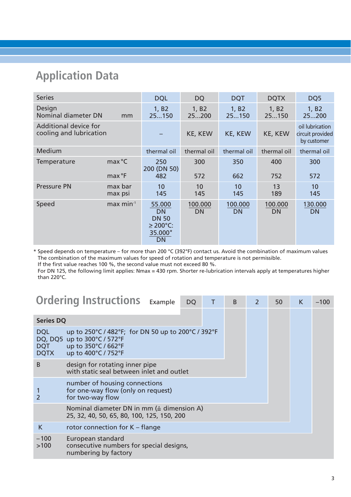## **Application Data**

| <b>Series</b>                                    |                    | <b>DQL</b>                                                            | <b>DQ</b>                  | <b>DQT</b>           | <b>DQTX</b>                                                   | DQ5                        |
|--------------------------------------------------|--------------------|-----------------------------------------------------------------------|----------------------------|----------------------|---------------------------------------------------------------|----------------------------|
| Design<br>Nominal diameter DN                    | mm                 | 1, B2<br>25150                                                        | 1, B <sub>2</sub><br>25200 | 1, B2<br>25150       | 1, B2<br>25150                                                | 1, B <sub>2</sub><br>25200 |
| Additional device for<br>cooling and lubrication |                    |                                                                       | KE, KEW<br><b>KE, KEW</b>  |                      | oil lubrication<br>KE, KEW<br>circuit provided<br>by customer |                            |
| Medium                                           |                    | thermal oil                                                           | thermal oil                | thermal oil          | thermal oil                                                   | thermal oil                |
| Temperature                                      | max °C<br>max °F   | 250<br>200 (DN 50)<br>482                                             | 300<br>572                 | 350<br>662           | 400<br>752                                                    | 300<br>572                 |
|                                                  |                    |                                                                       |                            |                      |                                                               |                            |
| <b>Pressure PN</b>                               | max bar<br>max psi | 10<br>145                                                             | 10<br>145                  | 10<br>145            | 13<br>189                                                     | 10<br>145                  |
| Speed                                            | $max min-1$        | 55.000<br><b>DN</b><br><b>DN 50</b><br>$\geq$ 200°C:<br>35.000*<br>DN | 100.000<br><b>DN</b>       | 100.000<br><b>DN</b> | 100.000<br><b>DN</b>                                          | 130.000<br><b>DN</b>       |

\* Speed depends on temperature – for more than 200 °C (392°F) contact us. Avoid the combination of maximum values The combination of the maximum values for speed of rotation and temperature is not permissible. If the first value reaches 100 %, the second value must not exceed 80 %.

For DN 125, the following limit applies: Nmax = 430 rpm. Shorter re-lubrication intervals apply at temperatures higher than 220°C.

|                                         | <b>Ordering Instructions Example</b>                                                                                            | <b>DQ</b> | T | B | 2 | 50 | K | $-100$ |
|-----------------------------------------|---------------------------------------------------------------------------------------------------------------------------------|-----------|---|---|---|----|---|--------|
| <b>Series DQ</b>                        |                                                                                                                                 |           |   |   |   |    |   |        |
| <b>DQL</b><br><b>DQT</b><br><b>DQTX</b> | up to 250°C / 482°F; for DN 50 up to 200°C / 392°F<br>DQ, DQ5 up to 300°C / 572°F<br>up to 350°C / 662°F<br>up to 400°C / 752°F |           |   |   |   |    |   |        |
| B                                       | design for rotating inner pipe<br>with static seal between inlet and outlet                                                     |           |   |   |   |    |   |        |
|                                         | number of housing connections<br>for one-way flow (only on request)<br>for two-way flow                                         |           |   |   |   |    |   |        |
|                                         | Nominal diameter DN in mm $($ $\triangle$ dimension A)<br>25, 32, 40, 50, 65, 80, 100, 125, 150, 200                            |           |   |   |   |    |   |        |
| K                                       | rotor connection for $K$ – flange                                                                                               |           |   |   |   |    |   |        |
| $-100$<br>>100                          | European standard<br>consecutive numbers for special designs,<br>numbering by factory                                           |           |   |   |   |    |   |        |
|                                         |                                                                                                                                 |           |   |   |   |    |   |        |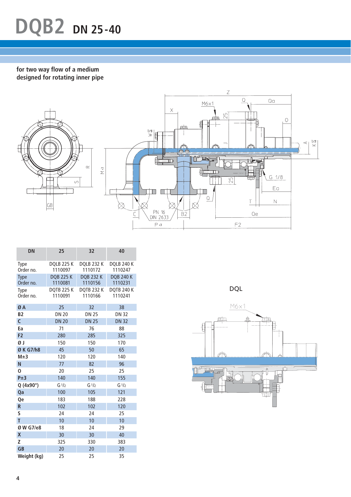# **DQB2 DN 25-40**

**for two way flow of a medium designed for rotating inner pipe**



| <b>DN</b>                | 25                           | 32                           | 40                           |
|--------------------------|------------------------------|------------------------------|------------------------------|
| <b>Type</b><br>Order no. | <b>DOLB 225 K</b><br>1110097 | <b>DQLB 232 K</b><br>1110172 | <b>DQLB 240 K</b><br>1110247 |
| <b>Type</b><br>Order no. | <b>DQB 225 K</b><br>1110081  | <b>DQB 232 K</b><br>1110156  | <b>DQB 240 K</b><br>1110231  |
| Type<br>Order no.        | <b>DQTB 225 K</b><br>1110091 | <b>DOTB 232 K</b><br>1110166 | <b>DOTB 240 K</b><br>1110241 |
| ØA                       | 25                           | 32                           | 38                           |
| <b>B2</b>                | <b>DN 20</b>                 | <b>DN 25</b>                 | <b>DN 32</b>                 |
| $\overline{C}$           | <b>DN 20</b>                 | <b>DN 25</b>                 | <b>DN 32</b>                 |
| Ea                       | 71                           | 76                           | 88                           |
| F <sub>2</sub>           | 280                          | 285                          | 325                          |
| ØJ                       | 150                          | 150                          | 170                          |
| Ø K G7/h8                | 45                           | 50                           | 65                           |
| M±3                      | 120                          | 120                          | 140                          |
| N                        | 77                           | 82                           | 96                           |
| $\overline{0}$           | 20                           | 25                           | 25                           |
| P±3                      | 140                          | 140                          | 155                          |
| Q (4x90°)                | G <sub>1/2</sub>             | G <sub>1/2</sub>             | G <sub>1/2</sub>             |
| Qa                       | 100                          | 105                          | 121                          |
| Qe                       | 183                          | 188                          | 228                          |
| R                        | 102                          | 102                          | 120                          |
| S                        | 24                           | 24                           | 25                           |
| T                        | 10                           | 10                           | 10                           |
| Ø W G7/e8                | 18                           | 24                           | 29                           |
| X                        | 30                           | 30                           | 40                           |
| Z                        | 325                          | 330                          | 383                          |
| <b>GB</b>                | 20                           | 20                           | 20                           |
| Weight (kg)              | 25                           | 25                           | 35                           |

DQL

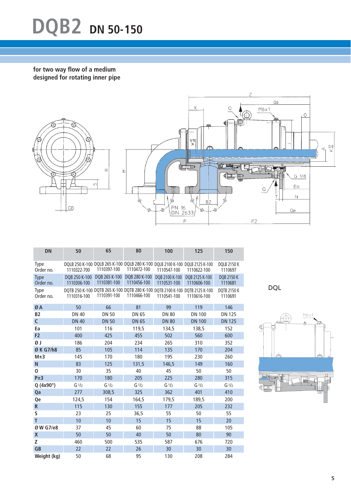# **DQB2 DN 50-150**

**for two way flow of a medium designed for rotating inner pipe**



| <b>DN</b>                | 50                           | 65                           | 80                           | 100                                                                                         | 125                           | 150                           |
|--------------------------|------------------------------|------------------------------|------------------------------|---------------------------------------------------------------------------------------------|-------------------------------|-------------------------------|
| <b>Type</b><br>Order no. | 1110322-700                  | 1110397-100                  | 1110472-100                  | DQLB 250 K-100 DQLB 265 K-100 DQLB 280 K-100 DQLB 2100 K-100 DQLB 2125 K-100<br>1110547-100 | 1110622-100                   | <b>DOLB 2150 K</b><br>1110697 |
| <b>Type</b><br>Order no. | DOB 250 K-100<br>1110306-100 | DQB 265 K-100<br>1110381-100 | DQB 280 K-100<br>1110456-100 | DOB 2100 K-100<br>1110531-100                                                               | DOB 2125 K-100<br>1110606-100 | <b>DQB 2150 K</b><br>1110681  |
| <b>Type</b><br>Order no. | 1110316-100                  | 1110391-100                  | 1110466-100                  | DQTB 250 K-100 DQTB 265 K-100 DQTB 280 K-100 DQTB 2100 K-100 DQTB 2125 K-100<br>1110541-100 | 1110616-100                   | <b>DQTB 2150 K</b><br>1110691 |
| ØA                       | 50                           | 66                           | 81                           | 99                                                                                          | 119                           | 146                           |
| <b>B2</b>                | <b>DN 40</b>                 | <b>DN 50</b>                 | <b>DN 65</b>                 | <b>DN 80</b>                                                                                | <b>DN 100</b>                 | <b>DN 125</b>                 |
| C                        | <b>DN 40</b>                 | <b>DN 50</b>                 | <b>DN 65</b>                 | <b>DN 80</b>                                                                                | <b>DN 100</b>                 | <b>DN 125</b>                 |
| Ea                       | 101                          | 116                          | 119,5                        | 134,5                                                                                       | 138,5                         | 152                           |
| F <sub>2</sub>           | 400                          | 425                          | 455                          | 502                                                                                         | 560                           | 600                           |
| ØΙ                       | 186                          | 204                          | 234                          | 265                                                                                         | 310                           | 352                           |
| Ø K G7/h8                | 85                           | 105                          | 114                          | 135                                                                                         | 170                           | 204                           |
| M±3                      | 145                          | 170                          | 180                          | 195                                                                                         | 230                           | 260                           |
| N                        | 83                           | 125                          | 131,5                        | 146,5                                                                                       | 149                           | 160                           |
| 0                        | 30                           | 35                           | 40                           | 45                                                                                          | 50                            | 50                            |
| $P\pm 3$                 | 170                          | 180                          | 205                          | 225                                                                                         | 280                           | 315                           |
| Q (4x90°)                | G <sub>1/2</sub>             | G <sub>1/2</sub>             | G <sub>1/2</sub>             | G <sub>1/2</sub>                                                                            | G <sub>1/2</sub>              | G <sub>1/2</sub>              |
| Qa                       | 277                          | 308,5                        | 325                          | 362                                                                                         | 401                           | 410                           |
| Qe                       | 124,5                        | 154                          | 164,5                        | 179,5                                                                                       | 189,5                         | 200                           |
| R                        | 115                          | 130                          | 155                          | 177                                                                                         | 205                           | 232                           |
| S                        | 23                           | 25                           | 36,5                         | 55                                                                                          | 50                            | 55                            |
| T                        | 10                           | 10                           | 15                           | 15                                                                                          | 15                            | 20                            |
| Ø W G7/e8                | 37                           | 45                           | 60                           | 75                                                                                          | 88                            | 105                           |
| X                        | 50                           | 50                           | 40                           | 50                                                                                          | 80                            | 90                            |
| Z                        | 460                          | 500                          | 535                          | 587                                                                                         | 676                           | 720                           |
| <b>GB</b>                | 22                           | 22                           | 26                           | 30                                                                                          | 30                            | 30                            |
| Weight (kg)              | 50                           | 68                           | 95                           | 130                                                                                         | 208                           | 284                           |

DQL

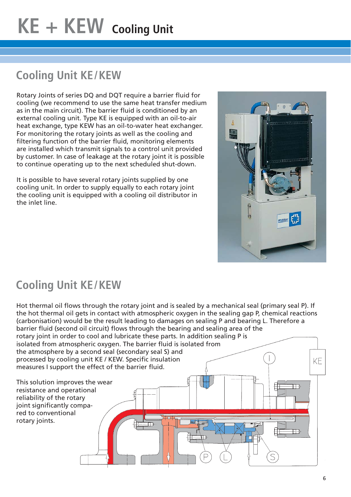# **Cooling Unit KE/KEW**

Rotary Joints of series DQ and DQT require a barrier fluid for cooling (we recommend to use the same heat transfer medium as in the main circuit). The barrier fluid is conditioned by an external cooling unit. Type KE is equipped with an oil-to-air heat exchange, type KEW has an oil-to-water heat exchanger. For monitoring the rotary joints as well as the cooling and filtering function of the barrier fluid, monitoring elements are installed which transmit signals to a control unit provided by customer. In case of leakage at the rotary joint it is possible to continue operating up to the next scheduled shut-down.

It is possible to have several rotary joints supplied by one cooling unit. In order to supply equally to each rotary joint the cooling unit is equipped with a cooling oil distributor in the inlet line.



# **Cooling Unit KE/KEW**

Hot thermal oil flows through the rotary joint and is sealed by a mechanical seal (primary seal P). If the hot thermal oil gets in contact with atmospheric oxygen in the sealing gap P, chemical reactions (carbonisation) would be the result leading to damages on sealing P and bearing L. Therefore a barrier fluid (second oil circuit) flows through the bearing and sealing area of the rotary joint in order to cool and lubricate these parts. In addition sealing P is isolated from atmospheric oxygen. The barrier fluid is isolated from the atmosphere by a second seal (secondary seal S) and processed by cooling unit KE / KEW. Specific insulation KE measures I support the effect of the barrier fluid. This solution improves the wear  $\overline{11}$ resistance and operational reliability of the rotary joint significantly compared to conventional rotary joints.  $\overline{\mathsf{D}}$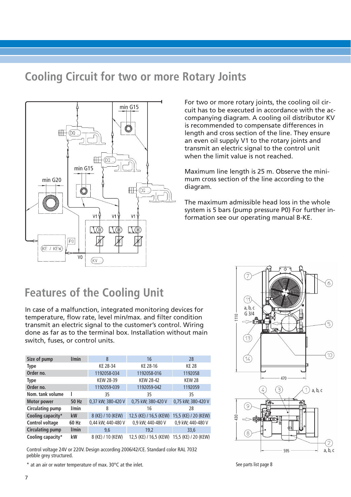### **Cooling Circuit for two or more Rotary Joints**



For two or more rotary joints, the cooling oil circuit has to be executed in accordance with the accompanying diagram. A cooling oil distributor KV is recommended to compensate differences in length and cross section of the line. They ensure an even oil supply V1 to the rotary joints and transmit an electric signal to the control unit when the limit value is not reached.

Maximum line length is 25 m. Observe the minimum cross section of the line according to the diagram.

The maximum admissible head loss in the whole system is 5 bars (pump pressure P0) For further information see our operating manual B-KE.

### **Features of the Cooling Unit**

In case of a malfunction, integrated monitoring devices for temperature, flow rate, level min/max. and filter condition transmit an electric signal to the customer's control. Wiring done as far as to the terminal box. Installation without main switch, fuses, or control units.

| Size of pump            | l/min | 8                  | 16                     | 28                   |
|-------------------------|-------|--------------------|------------------------|----------------------|
| Type                    |       | KE 28-34           | KE 28-16               | <b>KE 28</b>         |
| Order no.               |       | 1192058-034        | 1192058-016            | 1192058              |
| Type                    |       | <b>KEW 28-39</b>   | <b>KEW 28-42</b>       | <b>KEW 28</b>        |
| Order no.               |       | 1192059-039        | 1192059-042            | 1192059              |
| Nom. tank volume        |       | 35                 | 35                     | 35                   |
| <b>Motor power</b>      | 50 Hz | 0,37 kW; 380-420 V | 0,75 kW; 380-420 V     | 0,75 kW; 380-420 V   |
| <b>Circulating pump</b> | l/min | 8                  | 16                     | 28                   |
| Cooling capacity*       | kW    | 8 (KE) / 10 (KEW)  | 12,5 (KE) / 16,5 (KEW) | 15,5 (KE) / 20 (KEW) |
| Control voltage         | 60 Hz | 0,44 kW; 440-480 V | 0,9 kW; 440-480 V      | 0,9 kW; 440-480 V    |
| <b>Circulating pump</b> | l/min | 9,6                | 19,2                   | 33,6                 |
| Cooling capacity*       | kW    | 8 (KE) / 10 (KEW)  | 12,5 (KE) / 16,5 (KEW) | 15,5 (KE) / 20 (KEW) |

Control voltage 24V or 220V. Design according 2006/42/CE. Standard color RAL 7032 pebble grey structured.

\* at an air or water temperature of max. 30°C at the inlet.



See parts list page 8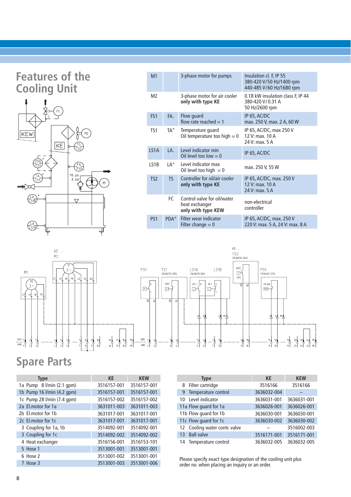### **Features of the Cooling Unit**



| M <sub>1</sub>               |                 | 3-phase motor for pumps                                             | Insulation cl. F, IP 55<br>380-420 V/50 Hz/1400 rpm<br>440-485 V/60 Hz/1680 rpm |
|------------------------------|-----------------|---------------------------------------------------------------------|---------------------------------------------------------------------------------|
| M <sub>2</sub>               |                 | 3-phase motor for air cooler<br>only with type KE                   | 0.18 kW insulation class F, IP 44<br>380-420 V/0.31 A<br>50 Hz/2600 rpm         |
| FS <sub>1</sub>              | FA.             | Flow guard<br>flow rate reached $= 1$                               | IP 65, AC/DC<br>max. 250 V, max. 2 A, 60 W                                      |
| TS <sub>1</sub>              | TA <sup>+</sup> | Temperature quard<br>Oil temperature too high $= 0$                 | IP 65, AC/DC, max 250 V<br>12 V: max, 10 A<br>24 V: max, 5 A                    |
| LS <sub>1</sub> A            | I A             | Level indicator min<br>Oil level too low $= 0$                      | IP 65, AC/DC                                                                    |
| IS <sub>1</sub> <sub>B</sub> | $IA^+$          | Level indicator max<br>Oil level too high $= 0$                     | max. 250 V, 55 W                                                                |
| TS <sub>2</sub>              | TS.             | Controller for oil/air cooler<br>only with type KE                  | IP 65, AC/DC, max. 250 V<br>12 V: $max. 10 A$<br>24 V: max, 5 A                 |
|                              | FC.             | Control valve for oil/water<br>heat exchanger<br>only with type KEW | non-electrical<br>controller                                                    |
| P <sub>S1</sub>              | $PDA^+$         | Filter wear indicator<br>Filter change $= 0$                        | IP 65, AC/DC, max. 250 V<br>220 V: max. 5 A, 24 V: max. 8 A                     |



### **Spare Parts**

| <b>Type</b>                | <b>KE</b>   | <b>KEW</b>  | <b>Type</b>        |
|----------------------------|-------------|-------------|--------------------|
| 1a Pump 8 l/min (2.1 gpm)  | 3516157-001 | 3516157-001 | Filter cartri<br>8 |
| 1b Pump 16 l/min (4.2 gpm) | 3516157-001 | 3516157-001 | Temperatur<br>9    |
| 1c Pump 28 l/min (7.4 gpm) | 3516157-002 | 3516157-002 | Level indica<br>10 |
| 2a El.motor for 1a         | 3631011-003 | 3631011-003 | 11a Flow guard     |
| 2b El.motor for 1b         | 3631017-001 | 3631017-001 | 11b Flow guard     |
| 2c El.motor for 1c         | 3631017-001 | 3631017-001 | 11c Flow guard     |
| 3 Coupling for 1a, 1b      | 3514092-001 | 3514092-001 | 12 Cooling wa      |
| 3 Coupling for 1c          | 3514092-002 | 3514092-002 | 13 Ball valve      |
| 4 Heat exchanger           | 3516156-001 | 3516153-101 | 14 Temperatur      |
| 5 Hose 1                   | 3513001-001 | 3513001-001 |                    |
| 6 Hose 2                   | 3513001-002 | 3513001-001 | Please specify e   |
| 7 Hose 3                   | 3513001-003 | 3513001-006 | order no when      |

|    | <b>Type</b>                   | <b>KE</b>   | <b>KEW</b>  |
|----|-------------------------------|-------------|-------------|
|    | 8 Filter cartridge            | 3516166     | 3516166     |
|    | 9 Temperature control         | 3636032-004 |             |
|    | 10 Level indicator            | 3636031-001 | 3636031-001 |
|    | 11a Flow guard for 1a         | 3636026-001 | 3636026-001 |
|    | 11b Flow quard for 1b         | 3636030-001 | 3636030-001 |
|    | 11c Flow guard for 1c         | 3636030-002 | 3636030-002 |
|    | 12 Cooling water contr. valve |             | 3516002-003 |
| 13 | <b>Ball valve</b>             | 3516171-001 | 3516171-001 |
|    | 14 Temperature control        | 3636032-005 | 3636032-005 |

Please specify exact type designation of the cooling unit plus order no. when placing an inquiry or an order.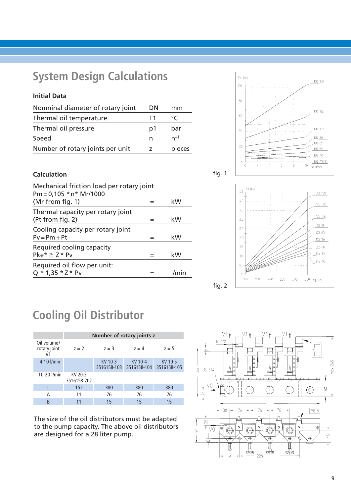### **System Design Calculations**

#### **Initial Data**

| Nomninal diameter of rotary joint | DN | mm            |
|-----------------------------------|----|---------------|
| Thermal oil temperature           | T1 | $\mathcal{C}$ |
| Thermal oil pressure              | p1 | bar           |
| Speed                             | n  | $n^{-1}$      |
| Number of rotary joints per unit  |    | pieces        |

#### **Calculation**



Me (Nm)

100

 $\bar{8}\bar{0}$ 

 $\pm 0$ 

 $\angle 6$ 

 $20\,$ 

Y

fig. 2

| Mechanical friction load per rotary joint |              |
|-------------------------------------------|--------------|
| $Pm = 0,105 * n * Mr/1000$                |              |
| (Mr from fig. 1)                          | kW           |
| Thermal capacity per rotary joint         |              |
| (Pt from fig. 2)                          | kW           |
| Cooling capacity per rotary joint         |              |
| $Pv = Pm + Pt$                            | kW           |
| Required cooling capacity                 |              |
| $Pke^* \geq Z^*$ Pv                       | kW           |
| Required oil flow per unit:               |              |
| $Q \ge 1,35 * Z * PV$                     | <i>l/min</i> |
|                                           |              |



8

 $\hat{\mathbf{0}}$  $\mathfrak{I}^{\mathfrak{q}}$  (bor).

DC\_150

DO 125

DQ\_100

DO 80  $00 - 65$ 

DQ 50 DO 40

 $00.25/32$ 

### **Cooling Oil Distributor**

|                                               | Number of rotary joints z |                        |                        |                        |  |  |  |  |  |  |  |
|-----------------------------------------------|---------------------------|------------------------|------------------------|------------------------|--|--|--|--|--|--|--|
| Oil volume/<br>rotary joint<br>V <sub>1</sub> | $z = 2$                   | $7 = 3$                | $7 = 4$                | $7 = 5$                |  |  |  |  |  |  |  |
| 4-10 l/min                                    |                           | KV 10-3<br>3516158-103 | KV 10-4<br>3516158-104 | KV 10-5<br>3516158-105 |  |  |  |  |  |  |  |
| 10-20 l/min                                   | KV 20-2<br>3516158-202    |                        |                        |                        |  |  |  |  |  |  |  |
|                                               | 152                       | 380                    | 380                    | 380                    |  |  |  |  |  |  |  |
| А                                             | 11                        | 76                     | 76                     | 76                     |  |  |  |  |  |  |  |
| B                                             | 11                        | 15                     | 15                     | 15                     |  |  |  |  |  |  |  |

The size of the oil distributors must be adapted to the pump capacity. The above oil distributors are designed for a 28 liter pump.

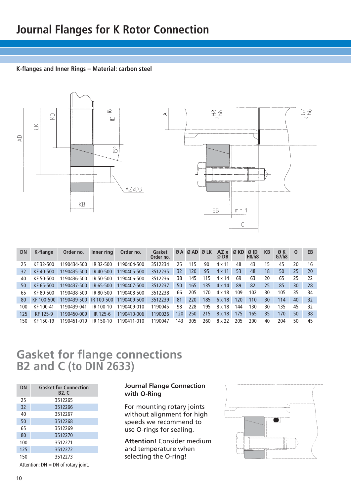#### **K-flanges and Inner Rings – Material: carbon steel**





| <b>DN</b> | K-flange      | Order no.              | Inner ring | Order no.   | Gasket<br>Order no. |     | ØA ØAD | Ø LK | $AZ \times \emptyset$ KD<br>Ø DB |     | ØID<br>H8/h8 | KB | ØΚ<br>G7/h8 | $\Omega$ | EB |
|-----------|---------------|------------------------|------------|-------------|---------------------|-----|--------|------|----------------------------------|-----|--------------|----|-------------|----------|----|
| 25        | KF 32-500     | 1190434-500            | IR 32-500  | 1190404-500 | 3512234             | 25  | 115    | 90   | 4 x 11                           | 48  | 43           | 15 | 45          | 20       | 16 |
| 32        | KF40-500      | 1190435-500            | IR 40-500  | 1190405-500 | 3512235             | 32  | 120    | 95   | $4 \times 11$                    | 53  | 48           | 18 | 50          | 25       | 20 |
| 40        | KF 50-500     | 1190436-500            | IR 50-500  | 1190406-500 | 3512236             | 38  | 145    | 115  | 4 x 14                           | 69  | 63           | 20 | 65          | 25       | 22 |
| 50        | KF 65-500     | 1190437-500            | IR 65-500  | 1190407-500 | 3512237             | 50  | 165    | 135  | $4 \times 14$                    | 89  | 82           | 25 | 85          | 30       | 28 |
| 65        | KF 80-500     | 1190438-500            | IR 80-500  | 1190408-500 | 3512238             | 66  | 205    | 170  | 4 x 18                           | 109 | 102          | 30 | 105         | 35       | 34 |
| -80       | KF 100-500    | 1190439-500 IR 100-500 |            | 1190409-500 | 3512239             | 81  | 220    | 185  | 6 x 18                           | 120 | 110          | 30 | 114         | 40       | 32 |
| 100       | KF 100-41     | 1190439-041            | IR 100-10  | 1190409-010 | 1190045             | 98  | 228    | 195  | 8 x 18                           | 144 | 130          | 30 | 135         | 45       | 32 |
| 125       | KF 125-9      | 1190450-009            | IR 125-6   | 1190410-006 | 1190026             | 120 | 250    | 215  | 8 x 18                           | 175 | 165          | 35 | 170         | 50       | 38 |
| 150       | 150-19<br>KF. | 1190451-019            | IR 150-10  | 1190411-010 | 1190047             | 143 | 305    | 260  | 8 x 22                           | 205 | 200          | 40 | 204         | 50       | 45 |

### **Gasket for flange connections B2 and C (to DIN 2633)**

| DN  | <b>Gasket for Connection</b><br>B2, C |
|-----|---------------------------------------|
| 25  | 3512265                               |
| 32  | 3512266                               |
| 40  | 3512267                               |
| 50  | 3512268                               |
| 65  | 3512269                               |
| 80  | 3512270                               |
| 100 | 3512271                               |
| 125 | 3512272                               |
| 150 | 3512273                               |

Attention:  $DN = DN$  of rotary joint.

#### **Journal Flange Connection with O-Ring**

For mounting rotary joints without alignment for high speeds we recommend to use O-rings for sealing.

**Attention!** Consider medium and temperature when selecting the O-ring!

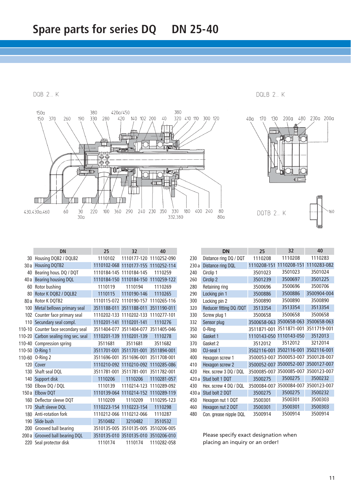DQB 2... K



|        | <b>DN</b>                     | 25          | 32                      | 40          |
|--------|-------------------------------|-------------|-------------------------|-------------|
| 30     | Housing DQB2 / DQLB2          | 1110102     | 1110177-120             | 1110252-090 |
| 30a    | <b>Housing DQTB2</b>          | 1110102-068 | 1110177-155             | 1110252-114 |
| 40     | Bearing hous. DQ / DQT        | 1110184-145 | 1110184-145             | 1110259     |
| 40a    | <b>Bearing housing DQL</b>    | 1110184-150 | 1110184-150             | 1110259-122 |
| 60     | Rotor bushing                 | 1110119     | 1110194                 | 1110269     |
| 80     | Rotor K DQB2 / DQLB2          | 1110115     | 1110190-146             | 1110265     |
| 80 a   | Rotor K DQTB2                 | 1110115-072 | 1110190-157             | 1110265-116 |
| 100    | Metal bellows primary seal    | 3511188-011 | 3511188-011             | 3511190-011 |
|        | 102 Counter face primary seal | 1110202-133 | 1110202-133             | 1110277-101 |
| 110    | Secundary seal compl.         | 1110201-141 | 1110201-141             | 1110276     |
| 110-10 | Counter face secondary seal   | 3511404-077 | 3511404-077             | 3511405-046 |
| 110-20 | Carbon sealing ring sec. seal | 1110201-139 | 1110201-139             | 1110278     |
| 110-40 | Compression spring            | 3511681     | 3511681                 | 3511682     |
| 110-50 | O-Ring 1                      | 3511701-001 | 3511701-001             | 3511894-001 |
| 110-60 | O-Ring 2                      | 3511696-001 | 3511696-001             | 3511708-001 |
| 120    | Cover                         | 1110210-092 | 1110210-092             | 1110285-086 |
| 130    | Shaft seal DQL                | 3511781-001 | 3511781-001             | 3511782-001 |
| 140    | Support disk                  | 1110206     | 1110206                 | 1110281-057 |
| 150    | Elbow DQ / DQL                | 1110139     | 1110214-123             | 1110289-092 |
| 150a   | <b>Elbow DQT</b>              | 1110139-064 | 1110214-152             | 1110289-119 |
| 160    | Deflector sleeve DQT          | 1110209     | 1110209                 | 1110295-123 |
| 170    | Shaft sleeve DQL              | 1110223-154 | 1110223-154             | 1110298     |
| 180    | Anti-rotation fork            | 1110212-066 | 1110212-066             | 1110287     |
| 190    | Slide bush                    | 3510482     | 3210482                 | 3510532     |
| 200    | Grooved ball bearing          |             | 3510135-005 3510135-005 | 3510206-005 |
| 200a   | Grooved ball bearing DQL      |             | 3510135-010 3510135-010 | 3510206-010 |
| 220    | Seal protector disk           | 1110174     | 1110174                 | 1110282-058 |

|       | <b>DN</b>               | 25          | 32                      | 40          |
|-------|-------------------------|-------------|-------------------------|-------------|
| 230   | Distance ring DQ / DQT  | 1110208     | 1110208                 | 1110283     |
| 230a  | Distance ring DQL       | 1110208-151 | 1110208-151             | 1110283-082 |
| 240   | Circlip 1               | 3501023     | 3501023                 | 3501024     |
| 260   | Circlip 2               | 3501239     | 3500697                 | 3501225     |
| 280   | Retaining ring          | 3500696     | 3500696                 | 3500706     |
| 290   | Locking pin 1           | 3500886     | 3500886                 | 3500904-004 |
| 300   | Locking pin 2           | 3500890     | 3500890                 | 3500890     |
| 320   | Reducer fitting DQ /DQT | 3513354     | 3513354                 | 3513354     |
| 330   | Screw plug 1            | 3500658     | 3500658                 | 3500658     |
| 332   | Sensor plug             | 3500658-063 | 3500658-063             | 3500658-063 |
| 350   | 0-Ring                  | 3511871-001 | 3511871-001             | 3511719-001 |
| 360   | Gasket 1                | 1110143-050 | 1110143-050             | 3512013     |
| 370   | Gasket 2                | 3512012     | 3512012                 | 3212014     |
| 380   | CU-seal 1               | 3502116-001 | 3502116-001             | 3502116-001 |
| 400   | Hexagon screw 1         | 3500053-007 | 3500053-007             | 3500128-007 |
| 410   | Hexagon screw 2         | 3500052-007 | 3500052-007             | 3500127-007 |
| 420   | Hex. screw 3 DQ / DQL   | 3500085-007 | 3500085-007             | 3500123-007 |
| 420a  | Stud bolt 1 DQT         | 3500275     | 3500275                 | 3500232     |
| 430   | Hex. screw 4 DQ / DQL   |             | 3500084-007 3500084-007 | 3500123-007 |
| 430 a | Stud bolt 2 DQT         | 3500275     | 3500275                 | 3500232     |
| 450   | Hexagon nut 1 DQT       | 3500301     | 3500301                 | 3500303     |
| 460   | Hexagon nut 2 DQT       | 3500301     | 3500301                 | 3500303     |
| 480   | Con. grease nipple DQL  | 3500914     | 3500914                 | 3500914     |

DOLB 2. K

Please specify exact designation when placing an inquiry or an order!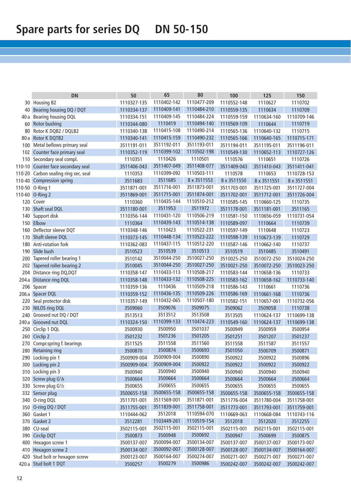|                 | <b>DN</b>                        | 50          | 65          | 80          | 100         | 125         | 150         |
|-----------------|----------------------------------|-------------|-------------|-------------|-------------|-------------|-------------|
|                 | 30 Housing B2                    | 1110327-135 | 1110402-142 | 1110477-209 | 1110552-148 | 1110627     | 1110702     |
|                 | 40 Bearing housing DQ / DQT      | 1110334-137 | 1110409-141 | 1110484-210 | 1110559-135 | 1110634     | 1110709     |
|                 | 40 a Bearing housing DQL         | 1110334-151 | 1110409-145 | 1110484-224 | 1110559-159 | 1110634-160 | 1110709-146 |
| 60 <sup>1</sup> | Rotor bushing                    | 1110344-080 | 1110419     | 1110494-140 | 1110569-109 | 1110644     | 1110719     |
| 80              | Rotor K DQB2 / DQLB2             | 1110340-138 | 1110415-108 | 1110490-214 | 1110565-136 | 1110640-132 | 1110715     |
|                 | 80 a Rotor K DQTB2               | 1110340-141 | 1110415-159 | 1110490-232 | 1110565-166 | 1110640-165 | 1110715-171 |
| 100             | Metal bellows primary seal       | 3511191-011 | 3511192-011 | 3511193-011 | 3511194-011 | 3511195-011 | 3511196-011 |
| 102             | Counter face primary seal        | 1110352-119 | 1110399-102 | 1110502-198 | 1110549-130 | 1110652-113 | 1110727-126 |
| 110             | Secondary seal compl.            | 1110351     | 1110426     | 1110501     | 1110576     | 1110651     | 1110726     |
| 110-10          | Counter face secondary seal      | 3511406-043 | 3511407-049 | 3511408-077 | 3511409-043 | 3511410-043 | 3511411-041 |
| 110-20          | Carbon sealing ring sec. seal    | 1110353     | 1110399-092 | 1110503-111 | 1110578     | 1110653     | 1110728-153 |
| 110-40          | Compression spring               | 3511683     | 3511685     | 8 x 3511553 | 8 x 3511550 | 8 x 3511551 | 8 x 3511551 |
| 110-50          | O-Ring 1                         | 3511871-001 | 3511716-001 | 3511873-001 | 3511703-001 | 3511725-001 | 3511727-004 |
|                 | 110-60 O-Ring 2                  | 3511869-001 | 3511715-001 | 3511874-001 | 3511702-001 | 3511712-001 | 3511726-004 |
| 120             | Cover                            | 1110360     | 1110435-144 | 1110510-212 | 1110585-145 | 1110660-125 | 1110735     |
|                 | 130 Shaft seal DQL               | 3511180-001 | 3511953     | 3511972     | 3511178-001 | 3511181-001 | 3511165     |
| 140             | Support disk                     | 1110356-144 | 1110431-120 | 1110506-219 | 1110581-150 | 1110656-059 | 1110731-054 |
|                 | 150 Elbow                        | 1110364     | 1110439-143 | 1110514-138 | 1110589-097 | 1110664     | 1110739     |
| 160             | Deflector sleeve DQT             | 1110348-146 | 1110423     | 1110522-231 | 1110597-149 | 1110648     | 1110723     |
|                 | 170 Shaft sleeve DQL             | 1110373-145 | 1110448-134 | 1110523-222 | 1110598-139 | 1110673-139 | 1110729     |
|                 | 180 Anti-rotation fork           | 1110362-083 | 1110437-115 | 1110512-220 | 1110587-146 | 1110662-140 | 1110737     |
|                 | 190 Slide bush                   | 3510523     | 3510539     | 3510513     | 3510519     | 3510485     | 3510491     |
|                 | 200 Tapered roller bearing 1     | 3510142     | 3510044-250 | 3510027-250 | 3510025-250 | 3510072-250 | 3510024-250 |
| 202             | Tapered roller bearing 2         | 3510045     | 3510044-250 | 3510027-250 | 3510021-250 | 3510072-250 | 3510023-250 |
|                 | 204 Distance ring DQ, DQT        | 1110358-147 | 1110433-113 | 1110508-217 | 1110583-144 | 1110658-136 | 1110733     |
| 204a            | <b>Distance ring DQL</b>         | 1110358-148 | 1110433-132 | 1110508-225 | 1110583-162 | 1110658-162 | 1110733-140 |
| 206             | Spacer                           | 1110359-136 | 1110436     | 1110509-218 | 1110586-143 | 1110661     | 1110736     |
|                 | 206 a Spacer DQL                 | 1110359-152 | 1110436-135 | 1110509-226 | 1110586-169 | 1110661-168 | 1110736     |
| 220             | Seal protector disk              | 1110357-149 | 1110432-065 | 1110507-180 | 1110582-151 | 1110657-061 | 1110732-056 |
| 230             | <b>NILOS ring DQL</b>            | 3509060     | 3509076     | 3509075     | 3509062     | 3509058     | 1110738     |
| 240             | Grooved nut DQ / DQT             | 3513513     | 3513512     | 3513508     | 3513505     | 1110624-137 | 1110699-138 |
|                 | 240 a Grooved nut DQL            | 1110324-150 | 1110399-133 | 1110474-223 | 1110549-160 | 1110624-137 | 1110699-138 |
| 250             | Circlip 1 DQL                    | 3500930     | 3500950     | 3501037     | 3500949     | 3500959     | 3500954     |
|                 | 260 Circlip 2                    | 3501232     | 3501236     | 3501205     | 3501251     | 3501207     | 3501237     |
| 270             | Compr.spring f. bearings         | 3511525     | 3511558     | 3511560     | 3511558     | 3511587     | 3511557     |
|                 | 280 Retaining ring               | 3500870     | 3500874     | 3500693     | 3501050     | 3500709     | 3500871     |
|                 | 290 Locking pin 1                | 3500909-004 | 3500909-004 | 3500890     | 3500922     | 3500922     | 3500896     |
|                 | 300 Locking pin 2                | 3500909-004 | 3500909-004 | 3500922     | 3500922     | 3500922     | 3500922     |
|                 | 310 Locking pin 3                | 3500940     | 3500940     | 3500940     | 3500940     | 3500940     | 3500940     |
|                 | 320 Screw plug G <sup>1</sup> /8 | 3500664     | 3500664     | 3500664     | 3500664     | 3500664     | 3500664     |
|                 | 330 Screw plug G <sup>1</sup> /2 | 3500655     | 3500655     | 3500655     | 3500655     | 3500655     | 3500655     |
|                 | 332 Sensor plug                  | 3500655-158 | 3500655-158 | 3500655-158 | 3500655-158 | 3500655-158 | 3500655-158 |
|                 | 340 O-ring DQL                   | 3511701-001 | 3511569-001 | 3511871-001 | 3511776-004 | 3511780-004 | 3511758-001 |
|                 | 350 O-ring DQ / DQT              | 3511755-001 | 3511839-001 | 3511758-001 | 3511773-001 | 3511793-001 | 3511759-001 |
|                 | 360 Gasket 1                     | 1110444-062 | 3512018     | 1110594-070 | 1110669-063 | 1110668-084 | 1110743-116 |
|                 | 370 Gasket 2                     | 3512281     | 1103449-261 | 1110519-154 | 3512018     | 3512020     | 3512255     |
|                 | 380 CU-seal                      | 3502115-001 | 3502115-001 | 3502115-001 | 3502115-001 | 3502115-001 | 3502115-001 |
|                 | 390 Circlip DQT                  | 3500873     | 3500948     | 3500692     | 3500947     | 3500699     | 3500875     |
|                 | 400 Hexagon screw 1              | 3500137-007 | 3500094-007 | 3500134-007 | 3500137-007 | 3500137-007 | 3500173-007 |
|                 | 410 Hexagon screw 2              | 3500134-007 | 3500092-007 | 3500128-007 | 3500128-007 | 3500134-007 | 3500164-007 |
|                 | 420 Stud bolt or hexagon screw   | 3500123-007 | 3500164-007 | 3500274-007 | 3500271-007 | 3500271-007 | 3500271-007 |
|                 | 420 a Stud bolt 1 DQT            | 3500257     | 3500279     | 3500986     | 3500242-007 | 3500242-007 | 3500242-007 |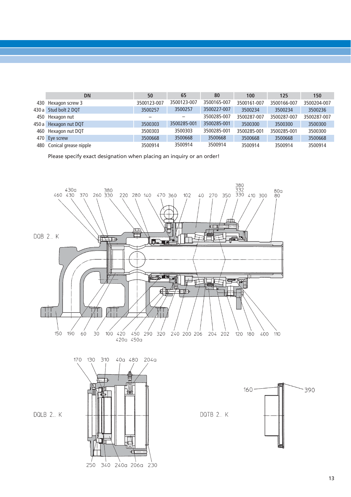| <b>DN</b>                 | 50          | 65          | 80          | 100         | 125         | 150         |
|---------------------------|-------------|-------------|-------------|-------------|-------------|-------------|
| 430 Hexagon screw 3       | 3500123-007 | 3500123-007 | 3500165-007 | 3500161-007 | 3500166-007 | 3500204-007 |
| 430 a Stud bolt 2 DQT     | 3500257     | 3500257     | 3500227-007 | 3500234     | 3500234     | 3500236     |
| 450 Hexagon nut           |             |             | 3500285-007 | 3500287-007 | 3500287-007 | 3500287-007 |
| 450 a Hexagon nut DQT     | 3500303     | 3500285-001 | 3500285-001 | 3500300     | 3500300     | 3500300     |
| 460 Hexagon nut DQT       | 3500303     | 3500303     | 3500285-001 | 3500285-001 | 3500285-001 | 3500300     |
| 470 Eye screw             | 3500668     | 3500668     | 3500668     | 3500668     | 3500668     | 3500668     |
| 480 Conical grease nipple | 3500914     | 3500914     | 3500914     | 3500914     | 3500914     | 3500914     |

Please specify exact designation when placing an inquiry or an order!